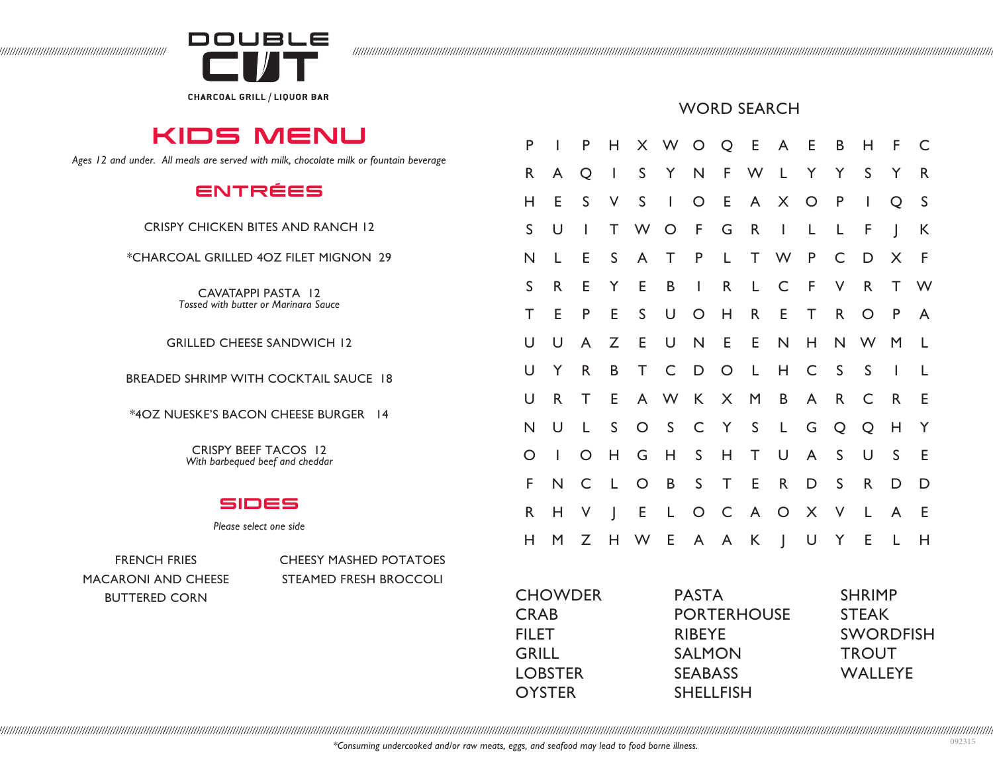

KIDS MENU

*Ages 12 and under. All meals are served with milk, chocolate milk or fountain beverage*

ENTRÉES

CRISPY CHICKEN BITES AND RANCH 12

\*CHARCOAL GRILLED 4OZ FILET MIGNON 29

CAVATAPPI PASTA 12 *Tossed with butter or Marinara Sauce* 

GRILLED CHEESE SANDWICH 12

BREADED SHRIMP WITH COCKTAIL SAUCE 18

\*4OZ NUESKE'S BACON CHEESE BURGER 14

CRISPY BEEF TACOS 12 *With barbequed beef and cheddar* 

## SIDES

*Please select one side*

MACARONI AND CHEESE STEAMED FRESH BROCCOLI BUTTERED CORN

FRENCH FRIES CHEESY MASHED POTATOES

|  | <b>WORD SEARCH</b> |
|--|--------------------|
|--|--------------------|

| P           | $\mathbf{I}$ | P                        |                |             |          |             |              |         | H X W O Q E A E B |              |              | H.              | F.             | C            |
|-------------|--------------|--------------------------|----------------|-------------|----------|-------------|--------------|---------|-------------------|--------------|--------------|-----------------|----------------|--------------|
| R           | A            | Q                        | $\blacksquare$ | S           |          |             |              |         | Y N F W L Y Y     |              |              | S               | Y              | R            |
| Η           | E            | S                        | V              | S           | $\sim 1$ |             |              |         | O E A X O P       |              |              | $\blacksquare$  | Q              | $\mathsf S$  |
| $\mathsf S$ | U            | $\overline{\phantom{a}}$ | T              | W           | O F      |             | G            |         | R I L L F         |              |              |                 | $\overline{1}$ | K            |
| N           | L            | E                        |                | S A         |          |             |              |         |                   |              |              | T P L T W P C D | X              | $\mathsf{F}$ |
| S           | R            | Е                        | Y              | E           | B        | $\mathbf I$ | $\mathsf{R}$ | L       | $\mathsf C$       | F V          |              | $R_{\perp}$     | T.             | W            |
| T           | E            | P                        | Е              | $\mathsf S$ | U        | $O$ H       |              | R       | E                 | T            | $\mathsf{R}$ | $\circ$         | $\mathsf{P}$   | A            |
| U           | U            | $\mathsf{A}$             | Z              | E           | $\cup$   |             |              | N E E N |                   |              |              | H N W           | M              | $\mathsf{L}$ |
| U           | Y            | $\mathsf{R}$             | B              |             | T C D O  |             |              |         | L H               |              | C S          | $\mathsf S$     | $\bar{1}$      | L            |
| U           | R            | T                        | Е              |             | A W K X  |             |              |         | $M$ B             |              | A R          | $\mathsf{C}$    | R              | E            |
| N           | U            | L                        | $\mathsf{S}$   |             | $O_S$    |             |              |         | C Y S L           | G            | Q            | Q               | H              | Y            |
| $\bigcirc$  | $\mathbf{I}$ | $\circ$                  | H              | G           | H        | S           | H            | T.      | $\overline{U}$    | $\mathsf{A}$ | S            | $\cup$          | $\mathsf S$    | E            |
| F           | ${\sf N}$    | $\mathsf{C}$             | $\mathsf{L}$   |             | $O$ B    |             | S T E        |         | R                 | D            | S            | R               | D              | D            |
| R           | Н            | $\vee$                   | $\Box$         | E.          |          |             |              |         | L O C A O         |              | X V          | $\mathbf{L}$    | $\mathsf{A}$   | - E          |
| Н           | M            | Z                        |                | H W E       |          | A A K       |              |         | J U Y E           |              |              |                 | $\mathsf{L}$   | H            |
|             |              |                          |                |             |          |             |              |         |                   |              |              |                 |                |              |

**CHOWDER** CRAB **FILET** GRILL LOBSTER **OYSTER** 

PASTA PORTERHOUSE RIBEYE SALMON SEABASS SHELLFISH

SHRIMP STEAK SWORDFISH **TROUT** WALLEYE